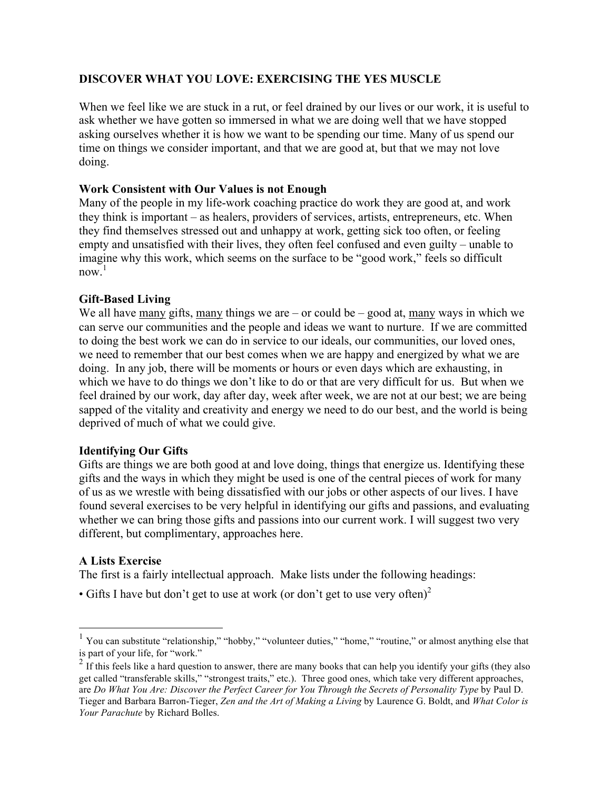# **DISCOVER WHAT YOU LOVE: EXERCISING THE YES MUSCLE**

When we feel like we are stuck in a rut, or feel drained by our lives or our work, it is useful to ask whether we have gotten so immersed in what we are doing well that we have stopped asking ourselves whether it is how we want to be spending our time. Many of us spend our time on things we consider important, and that we are good at, but that we may not love doing.

### **Work Consistent with Our Values is not Enough**

Many of the people in my life-work coaching practice do work they are good at, and work they think is important – as healers, providers of services, artists, entrepreneurs, etc. When they find themselves stressed out and unhappy at work, getting sick too often, or feeling empty and unsatisfied with their lives, they often feel confused and even guilty – unable to imagine why this work, which seems on the surface to be "good work," feels so difficult  $now<sup>1</sup>$ 

## **Gift-Based Living**

We all have many gifts, many things we are – or could be – good at, many ways in which we can serve our communities and the people and ideas we want to nurture. If we are committed to doing the best work we can do in service to our ideals, our communities, our loved ones, we need to remember that our best comes when we are happy and energized by what we are doing. In any job, there will be moments or hours or even days which are exhausting, in which we have to do things we don't like to do or that are very difficult for us. But when we feel drained by our work, day after day, week after week, we are not at our best; we are being sapped of the vitality and creativity and energy we need to do our best, and the world is being deprived of much of what we could give.

### **Identifying Our Gifts**

Gifts are things we are both good at and love doing, things that energize us. Identifying these gifts and the ways in which they might be used is one of the central pieces of work for many of us as we wrestle with being dissatisfied with our jobs or other aspects of our lives. I have found several exercises to be very helpful in identifying our gifts and passions, and evaluating whether we can bring those gifts and passions into our current work. I will suggest two very different, but complimentary, approaches here.

# **A Lists Exercise**

The first is a fairly intellectual approach. Make lists under the following headings:

• Gifts I have but don't get to use at work (or don't get to use very often)<sup>2</sup>

<sup>&</sup>lt;sup>1</sup> You can substitute "relationship," "hobby," "volunteer duties," "home," "routine," or almost anything else that is part of your life, for "work."

 $2$  If this feels like a hard question to answer, there are many books that can help you identify your gifts (they also get called "transferable skills," "strongest traits," etc.). Three good ones, which take very different approaches, are *Do What You Are: Discover the Perfect Career for You Through the Secrets of Personality Type* by Paul D. Tieger and Barbara Barron-Tieger, *Zen and the Art of Making a Living* by Laurence G. Boldt, and *What Color is Your Parachute* by Richard Bolles.